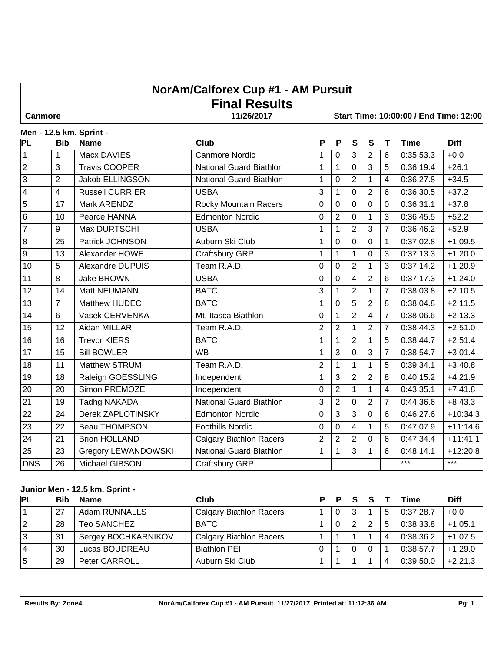# **NorAm/Calforex Cup #1 - AM Pursuit Final Results**

 **Canmore 11/26/2017 Start Time: 10:00:00 / End Time: 12:00**

|  |  |  | Men - 12.5 km. Sprint - |
|--|--|--|-------------------------|
|--|--|--|-------------------------|

| <b>PL</b>               | <b>Bib</b>     | <b>Name</b>                | $C$ <sub>Iub</sub>             | $\overline{P}$ | $\overline{P}$ | $\overline{\mathsf{s}}$ | $\overline{\mathsf{s}}$ | $\overline{\mathsf{T}}$ | <b>Time</b> | <b>Diff</b> |
|-------------------------|----------------|----------------------------|--------------------------------|----------------|----------------|-------------------------|-------------------------|-------------------------|-------------|-------------|
| $\mathbf{1}$            | $\mathbf{1}$   | Macx DAVIES                | <b>Canmore Nordic</b>          | 1              | 0              | 3                       | $\overline{2}$          | 6                       | 0:35:53.3   | $+0.0$      |
| $\mathbf 2$             | 3              | <b>Travis COOPER</b>       | <b>National Guard Biathlon</b> | 1              | $\mathbf{1}$   | $\mathbf 0$             | 3                       | 5                       | 0:36:19.4   | $+26.1$     |
| 3                       | $\overline{2}$ | <b>Jakob ELLINGSON</b>     | <b>National Guard Biathlon</b> | 1              | $\overline{0}$ | $\overline{2}$          | $\mathbf{1}$            | 4                       | 0:36:27.8   | $+34.5$     |
| $\overline{\mathbf{4}}$ | $\overline{4}$ | <b>Russell CURRIER</b>     | <b>USBA</b>                    | 3              | $\mathbf{1}$   | $\mathbf 0$             | $\overline{2}$          | 6                       | 0:36:30.5   | $+37.2$     |
| $\overline{5}$          | 17             | Mark ARENDZ                | Rocky Mountain Racers          | 0              | $\mathbf 0$    | 0                       | 0                       | 0                       | 0:36:31.1   | $+37.8$     |
| $\overline{6}$          | 10             | Pearce HANNA               | <b>Edmonton Nordic</b>         | 0              | $\overline{2}$ | $\mathbf 0$             | 1                       | 3                       | 0:36:45.5   | $+52.2$     |
| $\overline{7}$          | 9              | Max DURTSCHI               | <b>USBA</b>                    | $\mathbf{1}$   | $\overline{1}$ | $\overline{2}$          | 3                       | $\overline{7}$          | 0:36:46.2   | $+52.9$     |
| $\overline{8}$          | 25             | Patrick JOHNSON            | Auburn Ski Club                | 1              | $\overline{0}$ | $\mathbf 0$             | $\mathbf 0$             | 1                       | 0:37:02.8   | $+1:09.5$   |
| $\overline{9}$          | 13             | Alexander HOWE             | Craftsbury GRP                 | 1              | 1              | 1                       | $\Omega$                | 3                       | 0:37:13.3   | $+1:20.0$   |
| 10                      | $\overline{5}$ | Alexandre DUPUIS           | Team R.A.D.                    | 0              | $\overline{0}$ | $\overline{2}$          | 1                       | 3                       | 0:37:14.2   | $+1:20.9$   |
| 11                      | 8              | <b>Jake BROWN</b>          | <b>USBA</b>                    | $\overline{0}$ | $\overline{0}$ | $\overline{\mathbf{4}}$ | $\overline{2}$          | 6                       | 0:37:17.3   | $+1:24.0$   |
| 12                      | 14             | Matt NEUMANN               | <b>BATC</b>                    | 3              | $\mathbf 1$    | $\overline{2}$          | 1                       | $\overline{7}$          | 0:38:03.8   | $+2:10.5$   |
| 13                      | $\overline{7}$ | Matthew HUDEC              | <b>BATC</b>                    | 1              | $\overline{0}$ | 5                       | $\overline{2}$          | 8                       | 0:38:04.8   | $+2:11.5$   |
| 14                      | 6              | Vasek CERVENKA             | Mt. Itasca Biathlon            | 0              | 1              | $\overline{2}$          | 4                       | 7                       | 0:38:06.6   | $+2:13.3$   |
| 15                      | 12             | Aidan MILLAR               | Team R.A.D.                    | $\overline{2}$ | $\overline{2}$ | 1                       | $\overline{2}$          | 7                       | 0:38:44.3   | $+2:51.0$   |
| 16                      | 16             | <b>Trevor KIERS</b>        | <b>BATC</b>                    | 1              | 1              | $\overline{2}$          | 1                       | 5                       | 0:38:44.7   | $+2:51.4$   |
| 17                      | 15             | <b>Bill BOWLER</b>         | <b>WB</b>                      | 1              | 3              | $\mathbf 0$             | 3                       | 7                       | 0:38:54.7   | $+3:01.4$   |
| 18                      | 11             | Matthew STRUM              | Team R.A.D.                    | $\overline{2}$ | 1              | 1                       | 1                       | 5                       | 0:39:34.1   | $+3:40.8$   |
| 19                      | 18             | Raleigh GOESSLING          | Independent                    | 1              | 3              | $\overline{2}$          | $\overline{2}$          | 8                       | 0:40:15.2   | $+4:21.9$   |
| $\overline{20}$         | 20             | Simon PREMOZE              | Independent                    | 0              | $\overline{2}$ | $\mathbf{1}$            | 1                       | 4                       | 0:43:35.1   | $+7:41.8$   |
| $\overline{21}$         | 19             | <b>Tadhg NAKADA</b>        | <b>National Guard Biathlon</b> | 3              | $\overline{2}$ | $\mathbf 0$             | $\overline{2}$          | $\overline{7}$          | 0:44:36.6   | $+8:43.3$   |
| $\overline{22}$         | 24             | Derek ZAPLOTINSKY          | <b>Edmonton Nordic</b>         | 0              | 3              | $\mathbf{3}$            | 0                       | 6                       | 0:46:27.6   | $+10:34.3$  |
| 23                      | 22             | <b>Beau THOMPSON</b>       | <b>Foothills Nordic</b>        | 0              | $\mathbf 0$    | 4                       | 1                       | 5                       | 0:47:07.9   | $+11:14.6$  |
| $\overline{24}$         | 21             | <b>Brion HOLLAND</b>       | <b>Calgary Biathlon Racers</b> | $\overline{2}$ | $\overline{2}$ | $\overline{2}$          | $\overline{0}$          | 6                       | 0:47:34.4   | $+11:41.1$  |
| 25                      | 23             | <b>Gregory LEWANDOWSKI</b> | National Guard Biathlon        | 1              | $\overline{1}$ | 3                       | 1                       | 6                       | 0:48:14.1   | $+12:20.8$  |
| <b>DNS</b>              | 26             | Michael GIBSON             | Craftsbury GRP                 |                |                |                         |                         |                         | $***$       | $***$       |

#### **Junior Men - 12.5 km. Sprint -**

| <b>PL</b> | <b>Bib</b> | <b>Name</b>         | Club                           | D | Р | s |   |   | Time      | <b>Diff</b> |
|-----------|------------|---------------------|--------------------------------|---|---|---|---|---|-----------|-------------|
|           | 27         | Adam RUNNALLS       | <b>Calgary Biathlon Racers</b> |   | 0 |   |   | 5 | 0:37:28.7 | $+0.0$      |
|           | 28         | Teo SANCHEZ         | <b>BATC</b>                    |   | 0 |   | າ | 5 | 0:38:33.8 | $+1:05.1$   |
|           | -31        | Sergey BOCHKARNIKOV | <b>Calgary Biathlon Racers</b> |   |   |   |   |   | 0:38:36.2 | $+1:07.5$   |
|           | 30         | Lucas BOUDREAU      | <b>Biathlon PEI</b>            |   |   |   |   |   | 0:38:57.7 | $+1:29.0$   |
| 5         | 29         | Peter CARROLL       | Auburn Ski Club                |   |   |   |   |   | 0:39:50.0 | $+2:21.3$   |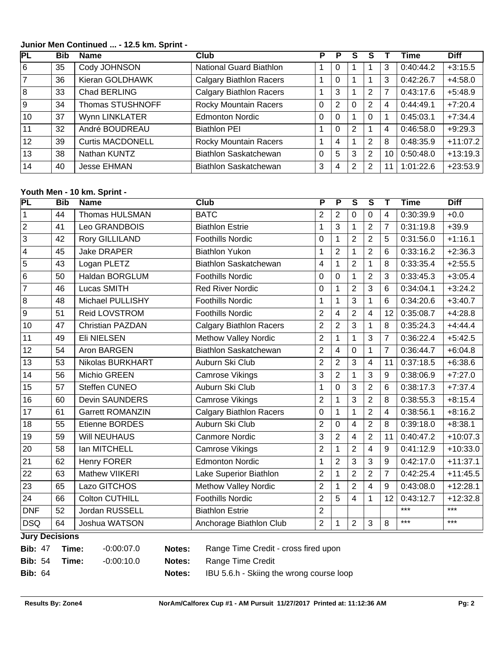**Junior Men Continued ... - 12.5 km. Sprint -** 

| PL             | <b>Bib</b> | <b>Name</b>             | Club                           |          |                |          |   |    | Time      | <b>Diff</b> |
|----------------|------------|-------------------------|--------------------------------|----------|----------------|----------|---|----|-----------|-------------|
| 6              | 35         | Cody JOHNSON            | National Guard Biathlon        |          | U              |          |   | 3  | 0:40:44.2 | $+3:15.5$   |
| $\overline{7}$ | 36         | Kieran GOLDHAWK         | <b>Calgary Biathlon Racers</b> |          | 0              |          |   | 3  | 0:42:26.7 | $+4:58.0$   |
| 8              | 33         | Chad BERLING            | <b>Calgary Biathlon Racers</b> |          | 3              |          | 2 | 7  | 0:43:17.6 | $+5:48.9$   |
| 9 ا            | 34         | Thomas STUSHNOFF        | Rocky Mountain Racers          | $\Omega$ | $\overline{2}$ | $\Omega$ | 2 | 4  | 0:44:49.1 | $+7:20.4$   |
| 10             | 37         | Wynn LINKLATER          | <b>Edmonton Nordic</b>         | 0        | $\Omega$       |          | 0 |    | 0:45:03.1 | $+7:34.4$   |
| 11             | 32         | André BOUDREAU          | <b>Biathlon PEI</b>            |          | $\mathbf 0$    | 2        |   | 4  | 0:46:58.0 | $+9:29.3$   |
| 12             | 39         | <b>Curtis MACDONELL</b> | <b>Rocky Mountain Racers</b>   |          | 4              |          | 2 | 8  | 0:48:35.9 | $+11:07.2$  |
| 13             | 38         | Nathan KUNTZ            | Biathlon Saskatchewan          | 0        | 5              | 3        | 2 | 10 | 0.50:48.0 | $+13:19.3$  |
| 14             | 40         | <b>Jesse EHMAN</b>      | Biathlon Saskatchewan          | 3        | 4              | 2        | 2 |    | 1:01:22.6 | $+23:53.9$  |

### **Youth Men - 10 km. Sprint -**

| PL              | <b>Bib</b> | <b>Name</b>             | <b>Club</b>                    | P                       | P              | $\overline{\mathsf{s}}$ | $\overline{\mathsf{s}}$ | Т              | <b>Time</b> | <b>Diff</b> |
|-----------------|------------|-------------------------|--------------------------------|-------------------------|----------------|-------------------------|-------------------------|----------------|-------------|-------------|
| $\overline{1}$  | 44         | Thomas HULSMAN          | <b>BATC</b>                    | $\overline{2}$          | $\overline{2}$ | $\overline{0}$          | $\overline{0}$          | $\overline{4}$ | 0:30:39.9   | $+0.0$      |
| $\sqrt{2}$      | 41         | Leo GRANDBOIS           | <b>Biathlon Estrie</b>         | 1                       | 3              | 1                       | $\overline{2}$          | $\overline{7}$ | 0:31:19.8   | $+39.9$     |
| $\overline{3}$  | 42         | Rory GILLILAND          | <b>Foothills Nordic</b>        | $\mathbf 0$             | 1              | $\overline{2}$          | $\overline{2}$          | 5              | 0:31:56.0   | $+1:16.1$   |
| $\overline{4}$  | 45         | <b>Jake DRAPER</b>      | <b>Biathlon Yukon</b>          | 1                       | $\overline{2}$ | $\overline{1}$          | $\overline{2}$          | 6              | 0:33:16.2   | $+2:36.3$   |
| $\sqrt{5}$      | 43         | Logan PLETZ             | <b>Biathlon Saskatchewan</b>   | $\overline{\mathbf{4}}$ | $\mathbf{1}$   | $\overline{2}$          | $\mathbf{1}$            | 8              | 0:33:35.4   | $+2:55.5$   |
| $\overline{6}$  | 50         | Haldan BORGLUM          | <b>Foothills Nordic</b>        | 0                       | 0              | 1                       | $\overline{2}$          | 3              | 0:33:45.3   | $+3:05.4$   |
| $\overline{7}$  | 46         | Lucas SMITH             | <b>Red River Nordic</b>        | 0                       | $\mathbf{1}$   | $\overline{2}$          | $\overline{3}$          | 6              | 0:34:04.1   | $+3:24.2$   |
| $\sqrt{8}$      | 48         | Michael PULLISHY        | <b>Foothills Nordic</b>        | 1                       | 1              | $\overline{3}$          | $\mathbf{1}$            | 6              | 0:34:20.6   | $+3:40.7$   |
| 9               | 51         | Reid LOVSTROM           | <b>Foothills Nordic</b>        | $\overline{2}$          | $\overline{4}$ | $\overline{2}$          | 4                       | 12             | 0:35:08.7   | $+4:28.8$   |
| 10              | 47         | <b>Christian PAZDAN</b> | <b>Calgary Biathlon Racers</b> | $\overline{c}$          | $\overline{2}$ | 3                       | 1                       | 8              | 0:35:24.3   | $+4:44.4$   |
| 11              | 49         | <b>Eli NIELSEN</b>      | <b>Methow Valley Nordic</b>    | $\overline{2}$          | 1              | 1                       | 3                       | $\overline{7}$ | 0:36:22.4   | $+5:42.5$   |
| 12              | 54         | Aron BARGEN             | Biathlon Saskatchewan          | $\overline{2}$          | $\overline{4}$ | $\mathbf 0$             | $\mathbf{1}$            | $\overline{7}$ | 0:36:44.7   | $+6:04.8$   |
| 13              | 53         | Nikolas BURKHART        | Auburn Ski Club                | $\overline{2}$          | $\overline{2}$ | 3                       | $\overline{4}$          | 11             | 0:37:18.5   | $+6:38.6$   |
| 14              | 56         | Michio GREEN            | <b>Camrose Vikings</b>         | 3                       | $\overline{2}$ | 1                       | 3                       | 9              | 0:38:06.9   | $+7:27.0$   |
| 15              | 57         | Steffen CUNEO           | Auburn Ski Club                | 1                       | $\mathbf 0$    | 3                       | $\overline{2}$          | 6              | 0:38:17.3   | $+7:37.4$   |
| 16              | 60         | Devin SAUNDERS          | <b>Camrose Vikings</b>         | $\overline{2}$          | 1              | 3                       | $\overline{2}$          | 8              | 0:38:55.3   | $+8:15.4$   |
| 17              | 61         | <b>Garrett ROMANZIN</b> | <b>Calgary Biathlon Racers</b> | 0                       | 1              | 1                       | $\overline{2}$          | $\overline{4}$ | 0:38:56.1   | $+8:16.2$   |
| 18              | 55         | Etienne BORDES          | Auburn Ski Club                | $\overline{2}$          | $\mathbf 0$    | $\overline{4}$          | $\overline{2}$          | 8              | 0:39:18.0   | $+8:38.1$   |
| 19              | 59         | <b>Will NEUHAUS</b>     | <b>Canmore Nordic</b>          | 3                       | $\overline{2}$ | $\overline{4}$          | $\overline{2}$          | 11             | 0:40:47.2   | $+10:07.3$  |
| 20              | 58         | Ian MITCHELL            | <b>Camrose Vikings</b>         | $\overline{2}$          | 1              | $\overline{2}$          | $\overline{4}$          | 9              | 0:41:12.9   | $+10:33.0$  |
| $\overline{21}$ | 62         | <b>Henry FORER</b>      | <b>Edmonton Nordic</b>         | 1                       | $\overline{2}$ | 3                       | 3                       | 9              | 0:42:17.0   | $+11:37.1$  |
| 22              | 63         | <b>Mathew VIIKERI</b>   | Lake Superior Biathlon         | $\overline{2}$          | 1              | $\overline{2}$          | $\overline{2}$          | $\overline{7}$ | 0:42:25.4   | $+11:45.5$  |
| 23              | 65         | Lazo GITCHOS            | <b>Methow Valley Nordic</b>    | $\overline{2}$          | 1              | $\overline{2}$          | $\overline{4}$          | 9              | 0:43:08.0   | $+12:28.1$  |
| 24              | 66         | <b>Colton CUTHILL</b>   | <b>Foothills Nordic</b>        | $\overline{2}$          | 5              | $\overline{4}$          | $\mathbf{1}$            | 12             | 0:43:12.7   | $+12:32.8$  |
| DNF             | 52         | Jordan RUSSELL          | <b>Biathlon Estrie</b>         | $\overline{2}$          |                |                         |                         |                | ***         | $***$       |
| DSQ             | 64         | Joshua WATSON           | Anchorage Biathlon Club        | $\overline{2}$          | 1              | $\overline{2}$          | 3                       | 8              | ***         | $***$       |
|                 |            |                         |                                |                         |                |                         |                         |                |             |             |

#### **Jury Decisions**

| <b>Bib: 47</b> | Time: | -0:00:07.0 | Notes: | Range Time Credit - cross fired upon     |
|----------------|-------|------------|--------|------------------------------------------|
| <b>Bib: 54</b> | Time: | -0:00:10.0 |        | <b>Notes:</b> Range Time Credit          |
| <b>Bib: 64</b> |       |            | Notes: | IBU 5.6.h - Skiing the wrong course loop |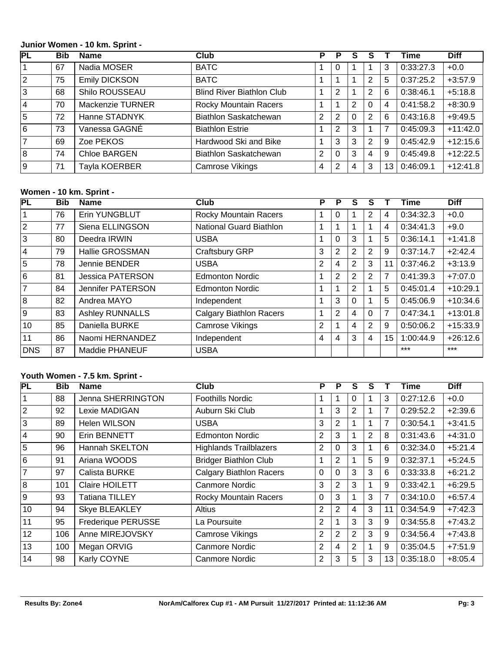#### **Junior Women - 10 km. Sprint -**

| РL             | <b>Bib</b> | <b>Name</b>          | Club                             | Р              | Р              | S        |                |      | <b>Time</b> | <b>Diff</b> |
|----------------|------------|----------------------|----------------------------------|----------------|----------------|----------|----------------|------|-------------|-------------|
| 1              | 67         | Nadia MOSER          | <b>BATC</b>                      |                | 0              |          |                | 3    | 0:33:27.3   | $+0.0$      |
| $\sqrt{2}$     | 75         | <b>Emily DICKSON</b> | <b>BATC</b>                      |                |                |          | 2              | 5    | 0:37:25.2   | $+3:57.9$   |
| $\sqrt{3}$     | 68         | Shilo ROUSSEAU       | <b>Blind River Biathlon Club</b> |                | $\overline{2}$ |          | 2              | 6    | 0:38:46.1   | $+5:18.8$   |
| $\vert$ 4      | 70         | Mackenzie TURNER     | <b>Rocky Mountain Racers</b>     |                |                | 2        | 0              | 4    | 0:41:58.2   | $+8:30.9$   |
| $\sqrt{5}$     | 72         | Hanne STADNYK        | Biathlon Saskatchewan            | $\overline{2}$ | $\overline{2}$ | $\Omega$ | 2              | 6    | 0:43:16.8   | $+9:49.5$   |
| $\sqrt{6}$     | 73         | Vanessa GAGNÉ        | <b>Biathlon Estrie</b>           |                | $\overline{2}$ | 3        |                | 7    | 0:45:09.3   | $+11:42.0$  |
| $\overline{7}$ | 69         | Zoe PEKOS            | Hardwood Ski and Bike            |                | 3              | 3        | $\overline{2}$ | 9    | 0.45:42.9   | $+12:15.6$  |
| $\sqrt{8}$     | 74         | Chloe BARGEN         | <b>Biathlon Saskatchewan</b>     | $\overline{2}$ | $\mathbf 0$    | 3        | 4              | 9    | 0.45:49.8   | $+12:22.5$  |
| 9              | 71         | Tayla KOERBER        | <b>Camrose Vikings</b>           | 4              | 2              | 4        | 3              | 13 I | 0.46:09.1   | $+12:41.8$  |

# **Women - 10 km. Sprint -**

| <b>PL</b>       | <b>Bib</b> | <b>Name</b>              | <b>Club</b>                    | Р              | P | S              | S              |                | <b>Time</b> | <b>Diff</b> |
|-----------------|------------|--------------------------|--------------------------------|----------------|---|----------------|----------------|----------------|-------------|-------------|
|                 | 76         | Erin YUNGBLUT            | <b>Rocky Mountain Racers</b>   |                | 0 |                | 2              | 4              | 0:34:32.3   | $+0.0$      |
| $\overline{2}$  | 77         | Siena ELLINGSON          | <b>National Guard Biathlon</b> | 1              |   |                |                | 4              | 0:34:41.3   | $+9.0$      |
| 3               | 80         | Deedra IRWIN             | <b>USBA</b>                    |                | 0 | 3              |                | 5              | 0:36:14.1   | $+1:41.8$   |
| $\overline{4}$  | 79         | Hallie GROSSMAN          | Craftsbury GRP                 | 3              | 2 | 2              | $\overline{2}$ | 9              | 0:37:14.7   | $+2:42.4$   |
| 5               | 78         | Jennie BENDER            | <b>USBA</b>                    | $\overline{2}$ | 4 | $\overline{2}$ | 3              | 11             | 0:37:46.2   | $+3:13.9$   |
| $6\overline{6}$ | 81         | <b>Jessica PATERSON</b>  | <b>Edmonton Nordic</b>         |                | 2 | 2              | 2              | 7              | 0:41:39.3   | $+7:07.0$   |
| $\overline{7}$  | 84         | <b>Jennifer PATERSON</b> | <b>Edmonton Nordic</b>         |                |   | $\overline{2}$ |                | 5              | 0:45:01.4   | $+10:29.1$  |
| $\overline{8}$  | 82         | Andrea MAYO              | Independent                    |                | 3 | $\Omega$       |                | 5              | 0:45:06.9   | $+10:34.6$  |
| 9               | 83         | <b>Ashley RUNNALLS</b>   | <b>Calgary Biathlon Racers</b> | 1              | 2 | 4              | 0              | $\overline{7}$ | 0:47:34.1   | $+13:01.8$  |
| 10              | 85         | Daniella BURKE           | Camrose Vikings                | 2              |   | 4              | 2              | 9              | 0:50:06.2   | $+15:33.9$  |
| 11              | 86         | Naomi HERNANDEZ          | Independent                    | 4              | 4 | 3              | 4              | 15             | 1:00:44.9   | $+26:12.6$  |
| <b>DNS</b>      | 87         | Maddie PHANEUF           | <b>USBA</b>                    |                |   |                |                |                | $***$       | $***$       |

#### **Youth Women - 7.5 km. Sprint -**

| <b>PL</b>      | Bib | <b>Name</b>           | <b>Club</b>                    | P              | P              | S              | S              |                | Time      | <b>Diff</b> |
|----------------|-----|-----------------------|--------------------------------|----------------|----------------|----------------|----------------|----------------|-----------|-------------|
|                | 88  | Jenna SHERRINGTON     | <b>Foothills Nordic</b>        |                |                |                |                | 3              | 0:27:12.6 | $+0.0$      |
| 2              | 92  | Lexie MADIGAN         | Auburn Ski Club                | 1              | 3              | 2              |                | 7              | 0:29:52.2 | $+2:39.6$   |
| 3              | 89  | Helen WILSON          | <b>USBA</b>                    | 3              | $\overline{2}$ |                |                | 7              | 0:30:54.1 | $+3:41.5$   |
| 4              | 90  | Erin BENNETT          | <b>Edmonton Nordic</b>         | $\overline{2}$ | 3              |                | $\overline{2}$ | 8              | 0:31:43.6 | $+4:31.0$   |
| 5              | 96  | Hannah SKELTON        | <b>Highlands Trailblazers</b>  | $\overline{2}$ | 0              | 3              |                | 6              | 0:32:34.0 | $+5:21.4$   |
| 6              | 91  | Ariana WOODS          | <b>Bridger Biathlon Club</b>   | 1              | 2              |                | 5              | 9              | 0:32:37.1 | $+5:24.5$   |
| $\overline{7}$ | 97  | Calista BURKE         | <b>Calgary Biathlon Racers</b> | 0              | 0              | 3              | 3              | 6              | 0:33:33.8 | $+6:21.2$   |
| 8              | 101 | <b>Claire HOILETT</b> | <b>Canmore Nordic</b>          | 3              | 2              | 3              |                | 9              | 0:33:42.1 | $+6:29.5$   |
| l 9            | 93  | Tatiana TILLEY        | <b>Rocky Mountain Racers</b>   | $\mathbf{0}$   | 3              |                | 3              | $\overline{7}$ | 0:34:10.0 | $+6:57.4$   |
| 10             | 94  | <b>Skye BLEAKLEY</b>  | <b>Altius</b>                  | $\overline{2}$ | 2              | 4              | 3              | 11             | 0:34:54.9 | $+7:42.3$   |
| 11             | 95  | Frederique PERUSSE    | La Poursuite                   | $\overline{2}$ |                | 3              | 3              | 9              | 0:34:55.8 | $+7:43.2$   |
| 12             | 106 | Anne MIREJOVSKY       | <b>Camrose Vikings</b>         | $\overline{2}$ | 2              | $\overline{2}$ | 3              | 9              | 0:34:56.4 | $+7:43.8$   |
| 13             | 100 | Megan ORVIG           | <b>Canmore Nordic</b>          | $\overline{2}$ | $\overline{4}$ | 2              |                | 9              | 0:35:04.5 | $+7:51.9$   |
| 14             | 98  | Karly COYNE           | <b>Canmore Nordic</b>          | $\overline{2}$ | 3              | 5              | 3              | 13             | 0:35:18.0 | $+8:05.4$   |